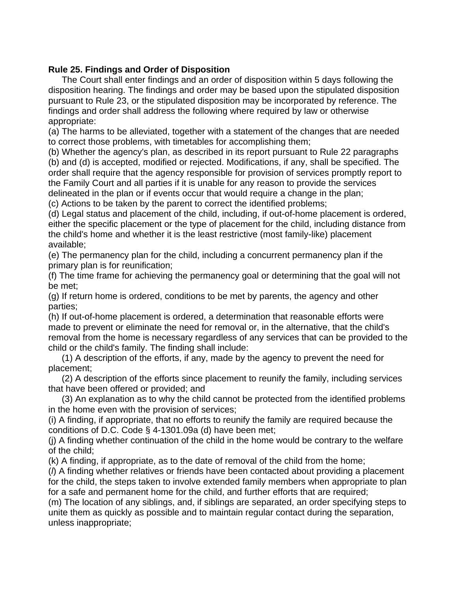## **Rule 25. Findings and Order of Disposition**

The Court shall enter findings and an order of disposition within 5 days following the disposition hearing. The findings and order may be based upon the stipulated disposition pursuant to Rule 23, or the stipulated disposition may be incorporated by reference. The findings and order shall address the following where required by law or otherwise appropriate:

(a) The harms to be alleviated, together with a statement of the changes that are needed to correct those problems, with timetables for accomplishing them;

(b) Whether the agency's plan, as described in its report pursuant to Rule 22 paragraphs (b) and (d) is accepted, modified or rejected. Modifications, if any, shall be specified. The order shall require that the agency responsible for provision of services promptly report to the Family Court and all parties if it is unable for any reason to provide the services delineated in the plan or if events occur that would require a change in the plan;

(c) Actions to be taken by the parent to correct the identified problems;

(d) Legal status and placement of the child, including, if out-of-home placement is ordered, either the specific placement or the type of placement for the child, including distance from the child's home and whether it is the least restrictive (most family-like) placement available;

(e) The permanency plan for the child, including a concurrent permanency plan if the primary plan is for reunification;

(f) The time frame for achieving the permanency goal or determining that the goal will not be met;

(g) If return home is ordered, conditions to be met by parents, the agency and other parties;

(h) If out-of-home placement is ordered, a determination that reasonable efforts were made to prevent or eliminate the need for removal or, in the alternative, that the child's removal from the home is necessary regardless of any services that can be provided to the child or the child's family. The finding shall include:

(1) A description of the efforts, if any, made by the agency to prevent the need for placement;

(2) A description of the efforts since placement to reunify the family, including services that have been offered or provided; and

(3) An explanation as to why the child cannot be protected from the identified problems in the home even with the provision of services;

(i) A finding, if appropriate, that no efforts to reunify the family are required because the conditions of D.C. Code § 4-1301.09a (d) have been met;

(j) A finding whether continuation of the child in the home would be contrary to the welfare of the child;

(k) A finding, if appropriate, as to the date of removal of the child from the home;

(*l*) A finding whether relatives or friends have been contacted about providing a placement for the child, the steps taken to involve extended family members when appropriate to plan for a safe and permanent home for the child, and further efforts that are required;

(m) The location of any siblings, and, if siblings are separated, an order specifying steps to unite them as quickly as possible and to maintain regular contact during the separation, unless inappropriate;